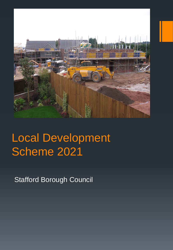

# Local Development Scheme 2021

Stafford Borough Council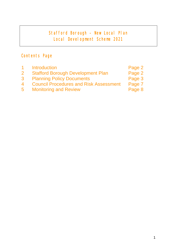# Stafford Borough – New Local Plan Local Development Scheme 2021

# Contents Page

|                | Introduction                                  | Page 2 |
|----------------|-----------------------------------------------|--------|
| $\overline{2}$ | <b>Stafford Borough Development Plan</b>      | Page 2 |
| 3              | <b>Planning Policy Documents</b>              | Page 3 |
| 4              | <b>Council Procedures and Risk Assessment</b> | Page 7 |
| $5^{\circ}$    | <b>Monitoring and Review</b>                  | Page 8 |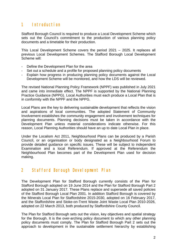#### 1 Introduction

Stafford Borough Council is required to produce a Local Development Scheme which sets out the Council's commitment to the production of various planning policy documents and a timetable for their production.

This Local Development Scheme covers the period 2021 – 2025. It replaces all previous Local Development Schemes. The Stafford Borough Local Development Scheme will:

- Define the Development Plan for the area
- Set out a schedule and a profile for proposed planning policy documents
- Explain how progress in producing planning policy documents against the Local Development Scheme will be monitored, and how the LDS will be reviewed.

The revised National Planning Policy Framework (NPPF) was published in July 2021 and came into immediate effect. The NPPF is supported by the National Planning Practice Guidance (NPPG). Local Authorities must each produce a Local Plan that is in conformity with the NPPF and the NPPG.

Local Plans are the key to delivering sustainable development that reflects the vision and aspirations of local communities. The adopted Statement of Community Involvement establishes the community engagement and involvement techniques for planning documents. Planning decisions must be taken in accordance with the Development Plan unless material considerations indicate otherwise. For this reason, Local Planning Authorities should have an up to date Local Plan in place.

Under the Localism Act 2011, Neighbourhood Plans can be produced by a Parish Council, or an organisation or body designated as a Neighbourhood Forum to provide detailed guidance on specific issues. These will be subject to independent Examination and a local Referendum. If approved at the Referendum the Neighbourhood Plan becomes part of the Development Plan used for decision making.

#### 2 Stafford Borough Development Plan

The Development Plan for Stafford Borough currently consists of the Plan for Stafford Borough adopted on 19 June 2014 and the Plan for Stafford Borough Part 2 adopted on 31 January 2017. These Plans replace and supersede all saved policies of the Stafford Borough Local Plan 2001. In addition Stafford Borough is covered by the Minerals Local Plan for Staffordshire 2015-2030, adopted on 16 February 2017, and the Staffordshire and Stoke-on-Trent Waste Joint Waste Local Plan 2010-2026, adopted on 22 March 2013, both produced by Staffordshire County Council.

The Plan for Stafford Borough sets out the vision, key objectives and spatial strategy for the Borough. It is the over-arching policy document to which any other planning policy documents must comply. The Plan for Stafford Borough Part 2 sets out the approach to development in the sustainable settlement hierarchy by establishing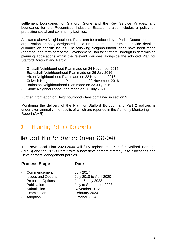settlement boundaries for Stafford, Stone and the Key Service Villages, and boundaries for the Recognised Industrial Estates. It also includes a policy on protecting social and community facilities.

As stated above Neighbourhood Plans can be produced by a Parish Council, or an organisation or body designated as a Neighbourhood Forum to provide detailed guidance on specific issues. The following Neighbourhood Plans have been made (adopted) and form part of the Development Plan for Stafford Borough in determining planning applications within the relevant Parishes alongside the adopted Plan for Stafford Borough and Part 2:

- Gnosall Neighbourhood Plan made on 24 November 2015
- Eccleshall Neighbourhood Plan made on 26 July 2016
- Hixon Neighbourhood Plan made on 22 November 2016
- Colwich Neighbourhood Plan made on 22 November 2016
- Barlaston Neighbourhood Plan made on 23 July 2019
- Stone Neighbourhood Plan made on 20 July 2021

Further information on Neighbourhood Plans contained in section 3.

Monitoring the delivery of the Plan for Stafford Borough and Part 2 policies is undertaken annually, the results of which are reported in the Authority Monitoring Report (AMR).

#### 3 Planning Policy Documents

#### New Local Plan for Stafford Borough 2020-2040

The New Local Plan 2020-2040 will fully replace the Plan for Stafford Borough (PFSB) and the PFSB Part 2 with a new development strategy, site allocations and Development Management policies.

#### **Process Stage Date**

- Commencement July 2017
- Issues and Options July 2018 to April 2020
- 
- 
- 
- Examination February 2024
- Adoption **October 2024**

- Preferred Options June & July 2022<br>- Publication July to September July to September 2023 - Submission November 2023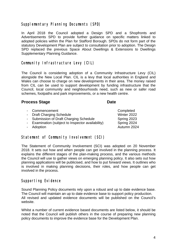#### Supplementary Planning Documents (SPD)

In April 2018 the Council adopted a Design SPD and a Shopfronts and Advertisements SPD to provide further guidance on specific matters linked to adopted policies within the Plan for Stafford Borough. SPDs do not form part of the statutory Development Plan are subject to consultation prior to adoption. The Design SPD replaced the previous Space About Dwellings & Extensions to Dwellings Supplementary Planning Guidance.

#### Community Infrastructure Levy (CIL)

The Council is considering adoption of a Community Infrastructure Levy (CIL) alongside the New Local Plan. CIL is a levy that local authorities in England and Wales can choose to charge on new developments in their area. The money raised from CIL can be used to support development by funding infrastructure that the Council, local community and neighbourhoods need, such as new or safer road schemes, footpaths and park improvements, or a new health centre.

#### **Process Stage Date Date**

| - Commencement                                    | Completed   |
|---------------------------------------------------|-------------|
| - Draft Charging Schedule                         | Winter 2022 |
| - Submission of Draft Charging Schedule           | Spring 2023 |
| - Examination (subject to Inspector availability) | Spring 2024 |
| - Adoption                                        | Autumn 2024 |
|                                                   |             |

#### Statement of Community Involvement (SCI)

The Statement of Community Involvement (SCI) was adopted on 20 November 2018. It sets out how and when people can get involved in the planning process. It explains the different stages of the plan-making process, and the various methods the Council will use to gather views on emerging planning policy. It also sets out how planning applications will be publicised, and how to put forward views. It outlines who is involved in making planning decisions, their roles, and how people can get involved in the process.

#### Supporting Evidence

Sound Planning Policy documents rely upon a robust and up to date evidence base. The Council will maintain an up to date evidence base to support policy production. All revised and updated evidence documents will be published on the Council's website.

Whilst a number of current evidence based documents are listed below, it should be noted that the Council will publish others in the course of preparing new planning policy documents to improve the evidence base for the Development Plan.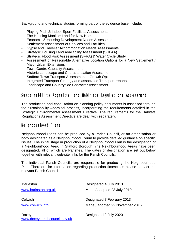Background and technical studies forming part of the evidence base include:

- Playing Pitch & Indoor Sport Facilities Assessments
- The Housing Monitor: Land for New Homes
- Economic & Housing Development Needs Assessment
- Settlement Assessment of Services and Facilities
- Gypsy and Traveller Accommodation Needs Assessments
- Strategic Housing Land Availability Assessment (SHLAA)
- Strategic Flood Risk Assessment (SFRA) & Water Cycle Study
- Assessment of Reasonable Alternative Location Options for a New Settlement / Major Urban Extensions
- Town Centre Capacity Assessment
- Historic Landscape and Characterisation Assessment
- Stafford Town Transport Assessment Growth Options
- Integrated Transport Strategy and associated Transport reports
- Landscape and Countryside Character Assessment

#### Sustainability Appraisal and Habitats Regulations Assessment

The production and consultation on planning policy documents is assessed through the Sustainability Appraisal process, incorporating the requirements detailed in the Strategic Environmental Assessment Directive. The requirements for the Habitats Regulations Assessment Directive are dealt with separately.

#### Neighbourhood Plans

Neighbourhood Plans can be produced by a Parish Council, or an organisation or body designated as a Neighbourhood Forum to provide detailed guidance on specific issues. The initial stage in production of a Neighbourhood Plan is the designation of a Neighbourhood Area. In Stafford Borough nine Neighbourhood Areas have been designated, all of which are Parishes. The dates of designation are set out below together with relevant web-site links for the Parish Councils.

The individual Parish Council's are responsible for producing the Neighbourhood Plan. Therefore for information regarding production timescales please contact the relevant Parish Council

| <b>Barlaston</b>                       | Designated 4 July 2013                                        |  |
|----------------------------------------|---------------------------------------------------------------|--|
| www.barlaston.org.uk                   | Made / adopted 23 July 2019                                   |  |
| Colwich<br>www.colwich.info            | Designated 7 February 2013<br>Made / adopted 22 November 2016 |  |
| Doxey<br>www.doxeyparishcouncil.gov.uk | Designated 2 July 2020                                        |  |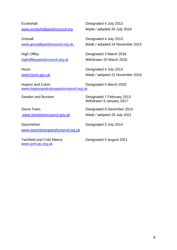**Eccleshall** [www.eccleshallparishcouncil.org](http://www.eccleshallparishcouncil.org/) 

**Gnosall** [www.gnosallparishcouncil.org.uk](http://www.gnosallparishcouncil.org.uk/) 

High Offley highoffleyparishcouncil.org.uk

**Hixon** [www.hixon.gov.uk](http://www.hixon.gov.uk/)  Designated 4 July 2013 Made / adopted 26 July 2016

Designated 4 July 2013 Made / adopted 24 November 2015

Designated 3 March 2016 Withdrawn 20 March 2020

Designated 4 July 2013 Made / adopted 22 November 2016

Hopton and Coton Designated 5 March 2020 [www.hoptonandcotonparishcouncil.org.uk](http://www.hoptonandcotonparishcouncil.org.uk/) 

Sandon and Burston Designated 7 February 2013 Withdrawn 5 January 2017

Stone Town [www.stonetowncouncil.gov.uk](http://www.stonetowncouncil.gov.uk/)  Designated 8 December 2015 Made / adopted 20 July 2021

Swynnerton www.swynnertonparishcouncil.org.uk Designated 3 July 2014

Yarnfield and Cold Meece [www.ycm-pc.org.uk](http://www.ycm-pc.org.uk/) 

Designated 5 August 2021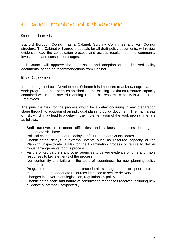### 4 Council Procedures and Risk Assessment

#### Council Procedures

Stafford Borough Council has a Cabinet, Scrutiny Committee and Full Council structure. The Cabinet will agree proposals for all draft policy documents, will review evidence, lead the consultation process and assess results from the community involvement and consultation stages.

Full Council will approve the submission and adoption of the finalised policy documents, based on recommendations from Cabinet

#### Risk Assessment

In preparing the Local Development Scheme it is important to acknowledge that the work programme has been established on the existing maximum resource capacity contained within the Forward Planning Team. This resource capacity is 4 Full Time Employees.

The principle 'risk' for the process would be a delay occurring in any preparation stage through to adoption of an individual planning policy document. The main areas of risk, which may lead to a delay in the implementation of the work programme, are as follows:

- Staff turnover, recruitment difficulties and sickness absences leading to inadequate skill base
- Political changes, procedural delays or failure to meet Council dates
- Unanticipated delays in external events such as resource capacity of the Planning Inspectorate (PINs) for the Examination process or failure to deliver robust arrangements for this process
- Failure of key partners and other agencies to deliver evidence on time and make responses to key elements of the process
- Non-conformity and failure in the tests of 'soundness' for new planning policy documents
- Programme amendments and procedural slippage due to poor project management or inadequate resources identified to secure delivery
- Changes in Government legislation, regulations & policy
- Unanticipated scale and nature of consultation responses received including new evidence submitted unexpectedly